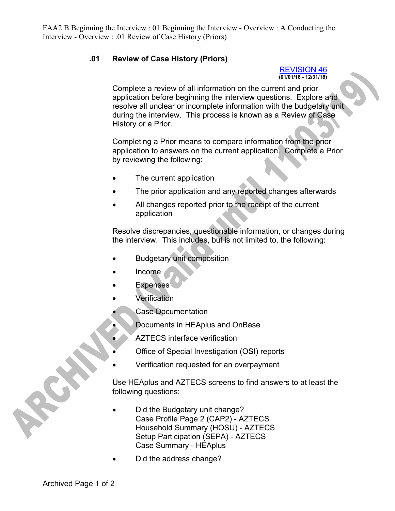FAA2.B Beginning the Interview : 01 Beginning the Interview - Overview : A Conducting the Interview - Overview : .01 Review of Case History (Priors)

## **.01 Review of Case History (Priors)**

## REVISION 46 **(01/01/18 - 12/31/18)**

Complete a review of all information on the current and prior application before beginning the interview questions. Explore and resolve all unclear or incomplete information with the budgetary unit during the interview. This process is known as a Review of Case History or a Prior.

Completing a Prior means to compare information from the prior application to answers on the current application. Complete a Prior by reviewing the following:

- The current application
- The prior application and any reported changes afterwards
- All changes reported prior to the receipt of the current application

Resolve discrepancies, questionable information, or changes during the interview. This includes, but is not limited to, the following:

- Budgetary unit composition
- Income
- Expenses
- **Verification** 
	- Case Documentation
	- Documents in HEAplus and OnBase
	- AZTECS interface verification
- Office of Special Investigation (OSI) reports
- Verification requested for an overpayment

Use HEAplus and AZTECS screens to find answers to at least the following questions:

- Did the Budgetary unit change? Case Profile Page 2 (CAP2) - AZTECS Household Summary (HOSU) - AZTECS Setup Participation (SEPA) - AZTECS Case Summary - HEAplus
- Did the address change?